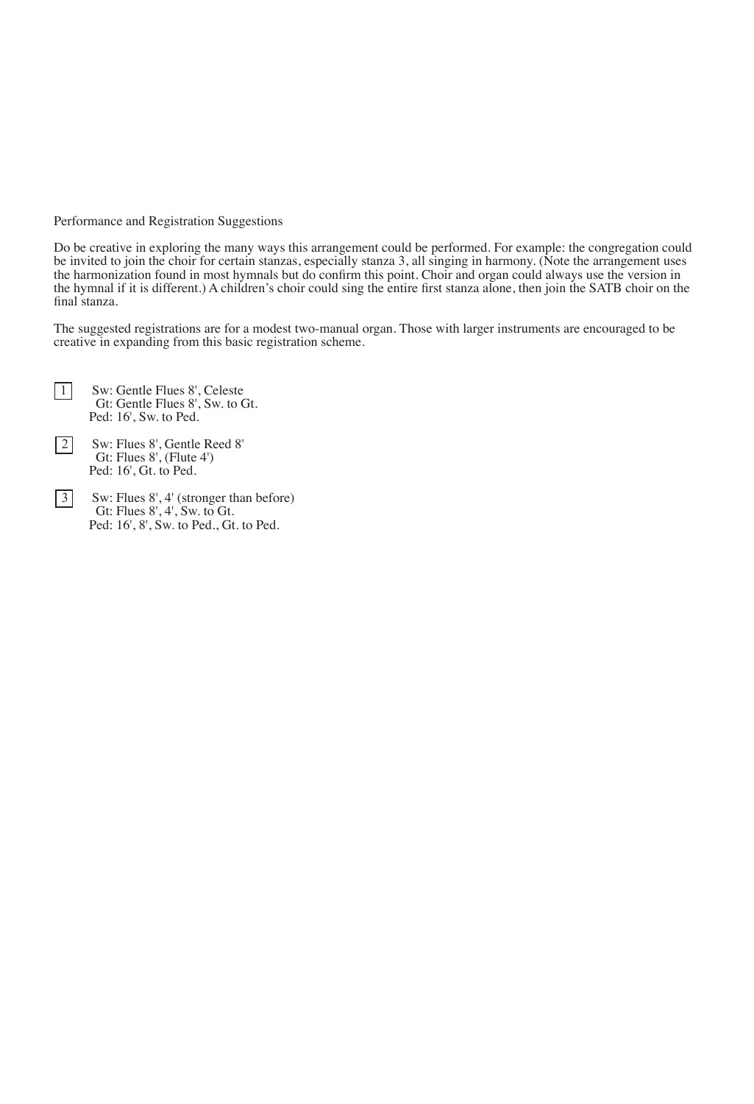Performance and Registration Suggestions

Do be creative in exploring the many ways this arrangement could be performed. For example: the congregation could be invited to join the choir for certain stanzas, especially stanza 3, all singing in harmony. (Note the arrangement uses the harmonization found in most hymnals but do confirm this point. Choir and organ could always use the version in the hymnal if it is different.) A children's choir could sing the entire first stanza alone, then join the SATB choir on the final stanza.

The suggested registrations are for a modest two-manual organ. Those with larger instruments are encouraged to be creative in expanding from this basic registration scheme.

| $\boxed{1}$ | Sw: Gentle Flues 8'. Celeste    |
|-------------|---------------------------------|
|             | Gt: Gentle Flues 8'. Sw. to Gt. |
|             | Ped: 16', Sw. to Ped.           |

 $|2|$ 

Flues 8', Gentle Reed 8' Sw: Gt: Flues 8', (Flute 4') Ped: 16', Gt. to Ped.

Flues 8', 4' (stronger than before) Flues 8', 4', Sw. to Gt. Ped: 16', 8', Sw. to Ped., Gt. to Ped. 3 Sw: Gt: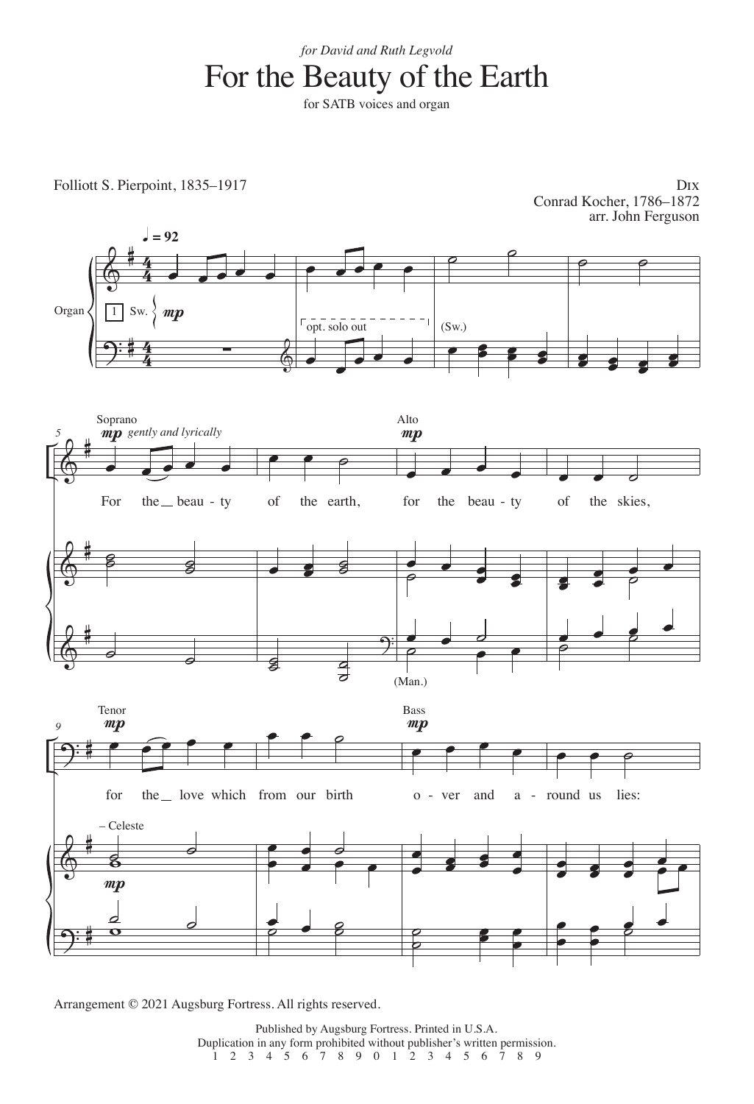## For the Beauty of the Earth *for David and Ruth Legvold*

for SATB voices and organ

Folliott S. Pierpoint, 1835–1917

Dix Conrad Kocher, 1786–1872 arr. John Ferguson



Arrangement © 2021 Augsburg Fortress. All rights reserved.

Published by Augsburg Fortress. Printed in U.S.A. Duplication in any form prohibited without publisher's written permission. 1 2 3 4 5 6 7 8 9 0 1 2 3 4 5 6 7 8 9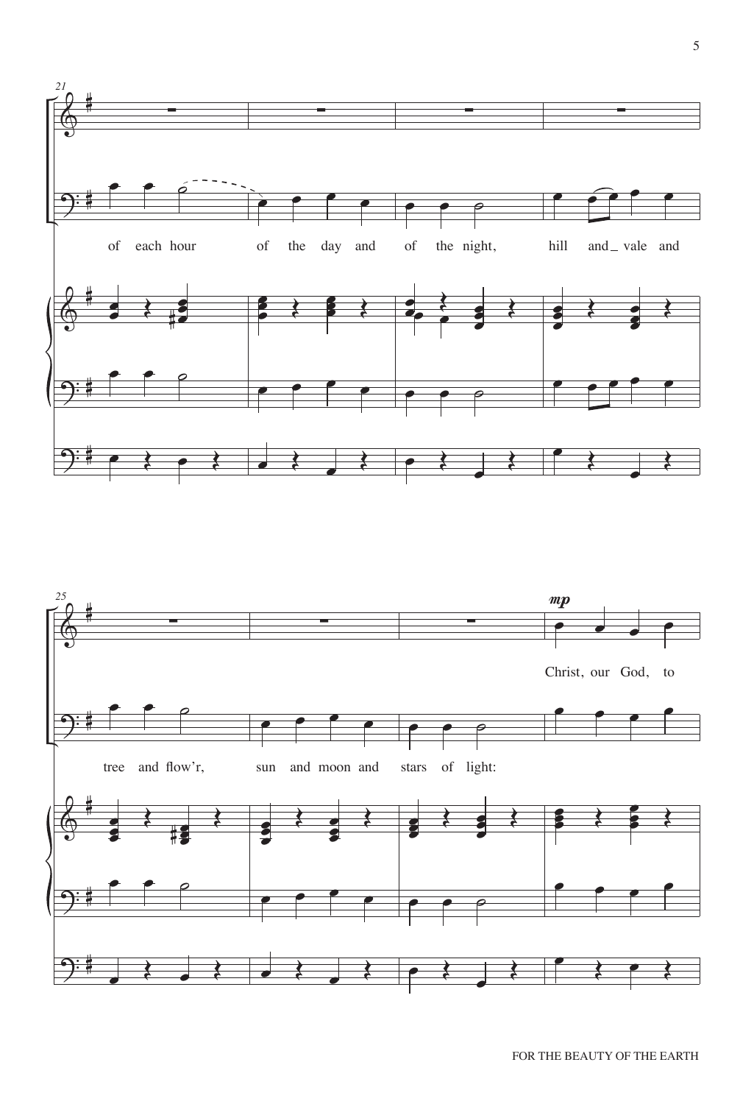

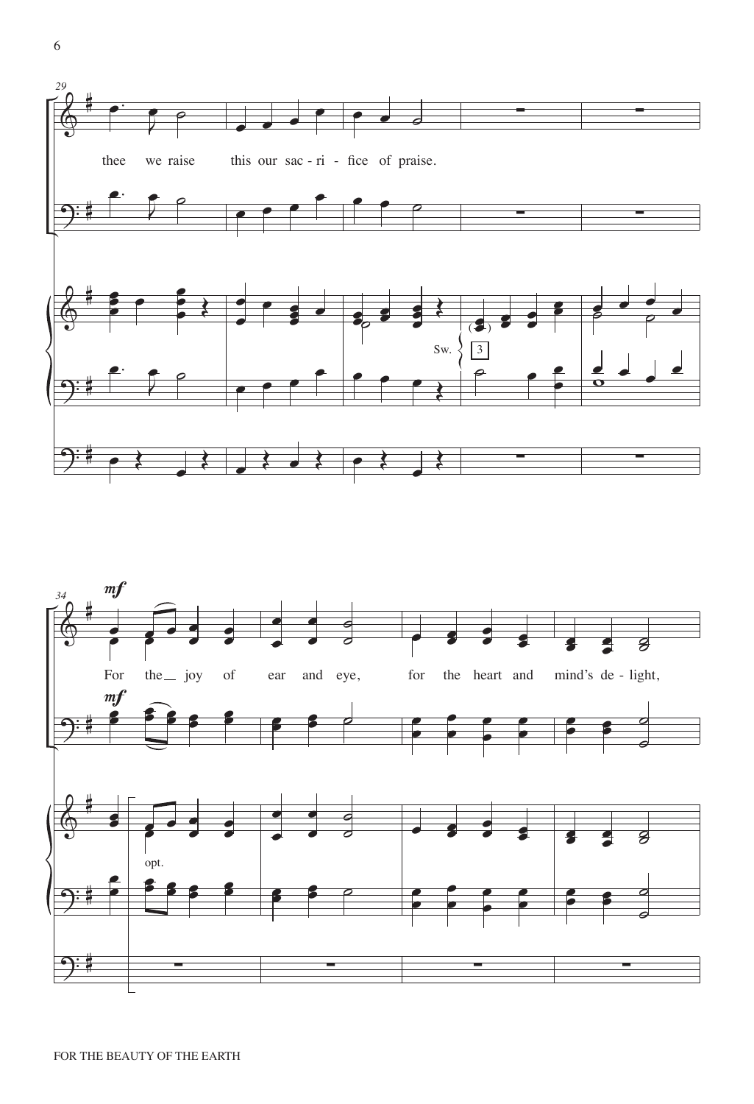